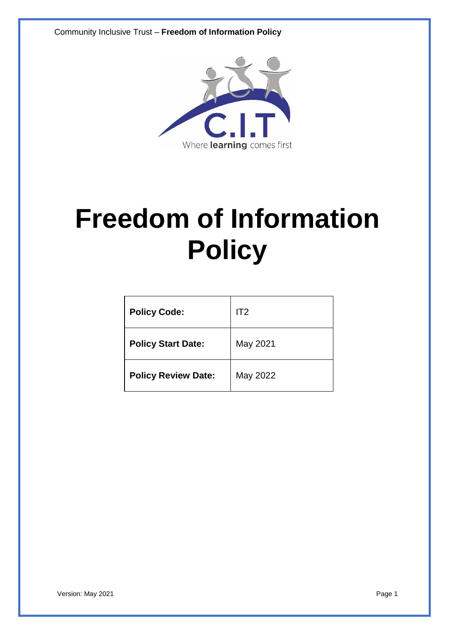Community Inclusive Trust – **Freedom of Information Policy**



# **Freedom of Information Policy**

| <b>Policy Code:</b>        | IT2      |
|----------------------------|----------|
| <b>Policy Start Date:</b>  | May 2021 |
| <b>Policy Review Date:</b> | May 2022 |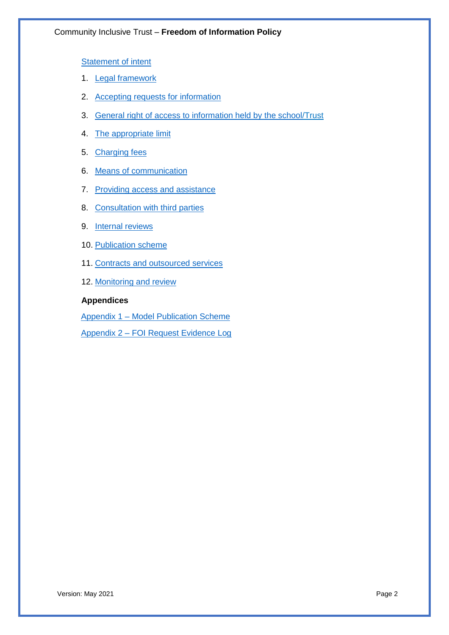Statement of intent

- 1. Legal framework
- 2. Accepting requests for information
- 3. General right of access to information held by the school/Trust
- 4. The appropriate limit
- 5. Charging fees
- 6. Means of communication
- 7. Providing access and assistance
- 8. Consultation with third parties
- 9. Internal reviews
- 10. Publication scheme
- 11. Contracts and outsourced services
- 12. Monitoring and review

# **Appendices**

Appendix 1 – Model Publication Scheme

Appendix 2 – FOI Request Evidence Log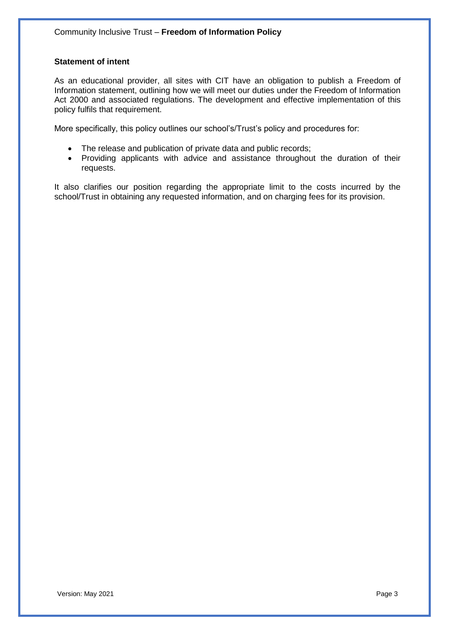#### **Statement of intent**

As an educational provider, all sites with CIT have an obligation to publish a Freedom of Information statement, outlining how we will meet our duties under the Freedom of Information Act 2000 and associated regulations. The development and effective implementation of this policy fulfils that requirement.

More specifically, this policy outlines our school's/Trust's policy and procedures for:

- The release and publication of private data and public records;
- Providing applicants with advice and assistance throughout the duration of their requests.

It also clarifies our position regarding the appropriate limit to the costs incurred by the school/Trust in obtaining any requested information, and on charging fees for its provision.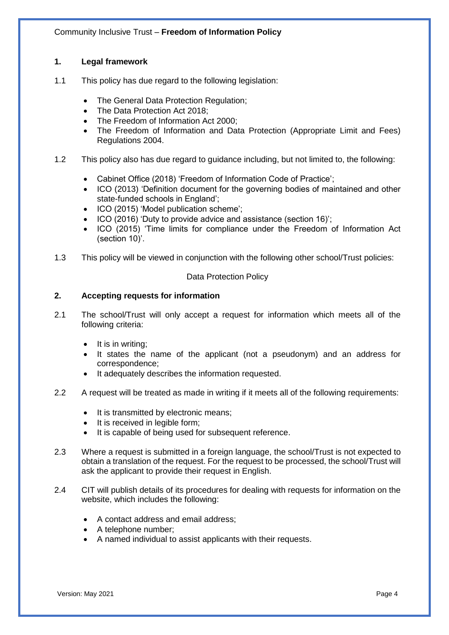# **1. Legal framework**

- 1.1 This policy has due regard to the following legislation:
	- The General Data Protection Regulation;
	- The Data Protection Act 2018;
	- The Freedom of Information Act 2000;
	- The Freedom of Information and Data Protection (Appropriate Limit and Fees) Regulations 2004.
- 1.2 This policy also has due regard to guidance including, but not limited to, the following:
	- Cabinet Office (2018) 'Freedom of Information Code of Practice';
	- ICO (2013) 'Definition document for the governing bodies of maintained and other state-funded schools in England';
	- ICO (2015) 'Model publication scheme';
	- ICO (2016) 'Duty to provide advice and assistance (section 16)';
	- ICO (2015) 'Time limits for compliance under the Freedom of Information Act (section 10)'.
- 1.3 This policy will be viewed in conjunction with the following other school/Trust policies:

#### Data Protection Policy

# **2. Accepting requests for information**

- 2.1 The school/Trust will only accept a request for information which meets all of the following criteria:
	- It is in writing;
	- It states the name of the applicant (not a pseudonym) and an address for correspondence;
	- It adequately describes the information requested.
- 2.2 A request will be treated as made in writing if it meets all of the following requirements:
	- It is transmitted by electronic means;
	- It is received in legible form;
	- It is capable of being used for subsequent reference.
- 2.3 Where a request is submitted in a foreign language, the school/Trust is not expected to obtain a translation of the request. For the request to be processed, the school/Trust will ask the applicant to provide their request in English.
- 2.4 CIT will publish details of its procedures for dealing with requests for information on the website, which includes the following:
	- A contact address and email address;
	- A telephone number;
	- A named individual to assist applicants with their requests.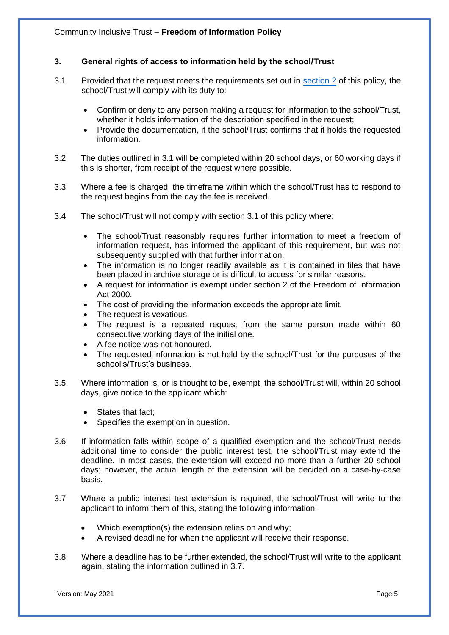# **3. General rights of access to information held by the school/Trust**

- 3.1 Provided that the request meets the requirements set out in section 2 of this policy, the school/Trust will comply with its duty to:
	- Confirm or deny to any person making a request for information to the school/Trust, whether it holds information of the description specified in the request;
	- Provide the documentation, if the school/Trust confirms that it holds the requested information.
- 3.2 The duties outlined in 3.1 will be completed within 20 school days, or 60 working days if this is shorter, from receipt of the request where possible.
- 3.3 Where a fee is charged, the timeframe within which the school/Trust has to respond to the request begins from the day the fee is received.
- 3.4 The school/Trust will not comply with section 3.1 of this policy where:
	- The school/Trust reasonably requires further information to meet a freedom of information request, has informed the applicant of this requirement, but was not subsequently supplied with that further information.
	- The information is no longer readily available as it is contained in files that have been placed in archive storage or is difficult to access for similar reasons.
	- A request for information is exempt under section 2 of the Freedom of Information Act 2000.
	- The cost of providing the information exceeds the appropriate limit.
	- The request is vexatious.
	- The request is a repeated request from the same person made within 60 consecutive working days of the initial one.
	- A fee notice was not honoured.
	- The requested information is not held by the school/Trust for the purposes of the school's/Trust's business.
- 3.5 Where information is, or is thought to be, exempt, the school/Trust will, within 20 school days, give notice to the applicant which:
	- States that fact:
	- Specifies the exemption in question.
- 3.6 If information falls within scope of a qualified exemption and the school/Trust needs additional time to consider the public interest test, the school/Trust may extend the deadline. In most cases, the extension will exceed no more than a further 20 school days; however, the actual length of the extension will be decided on a case-by-case basis.
- 3.7 Where a public interest test extension is required, the school/Trust will write to the applicant to inform them of this, stating the following information:
	- Which exemption(s) the extension relies on and why;
	- A revised deadline for when the applicant will receive their response.
- 3.8 Where a deadline has to be further extended, the school/Trust will write to the applicant again, stating the information outlined in 3.7.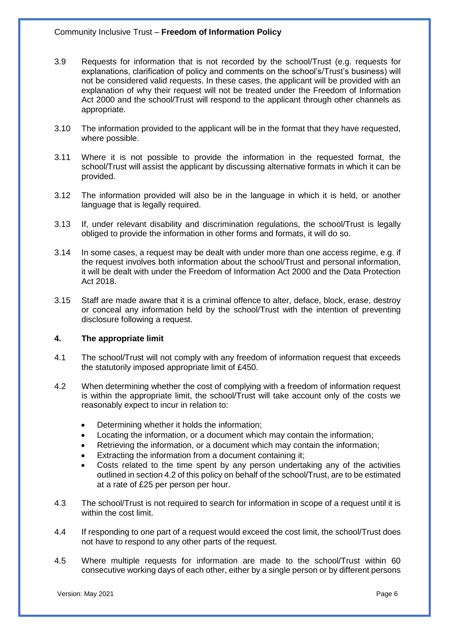- 3.9 Requests for information that is not recorded by the school/Trust (e.g. requests for explanations, clarification of policy and comments on the school's/Trust's business) will not be considered valid requests. In these cases, the applicant will be provided with an explanation of why their request will not be treated under the Freedom of Information Act 2000 and the school/Trust will respond to the applicant through other channels as appropriate.
- 3.10 The information provided to the applicant will be in the format that they have requested, where possible.
- 3.11 Where it is not possible to provide the information in the requested format, the school/Trust will assist the applicant by discussing alternative formats in which it can be provided.
- 3.12 The information provided will also be in the language in which it is held, or another language that is legally required.
- 3.13 If, under relevant disability and discrimination regulations, the school/Trust is legally obliged to provide the information in other forms and formats, it will do so.
- 3.14 In some cases, a request may be dealt with under more than one access regime, e.g. if the request involves both information about the school/Trust and personal information, it will be dealt with under the Freedom of Information Act 2000 and the Data Protection Act 2018.
- 3.15 Staff are made aware that it is a criminal offence to alter, deface, block, erase, destroy or conceal any information held by the school/Trust with the intention of preventing disclosure following a request.

#### **4. The appropriate limit**

- 4.1 The school/Trust will not comply with any freedom of information request that exceeds the statutorily imposed appropriate limit of £450.
- 4.2 When determining whether the cost of complying with a freedom of information request is within the appropriate limit, the school/Trust will take account only of the costs we reasonably expect to incur in relation to:
	- Determining whether it holds the information;
	- Locating the information, or a document which may contain the information;
	- Retrieving the information, or a document which may contain the information;
	- Extracting the information from a document containing it;
	- Costs related to the time spent by any person undertaking any of the activities outlined in section 4.2 of this policy on behalf of the school/Trust, are to be estimated at a rate of £25 per person per hour.
- 4.3 The school/Trust is not required to search for information in scope of a request until it is within the cost limit.
- 4.4 If responding to one part of a request would exceed the cost limit, the school/Trust does not have to respond to any other parts of the request.
- 4.5 Where multiple requests for information are made to the school/Trust within 60 consecutive working days of each other, either by a single person or by different persons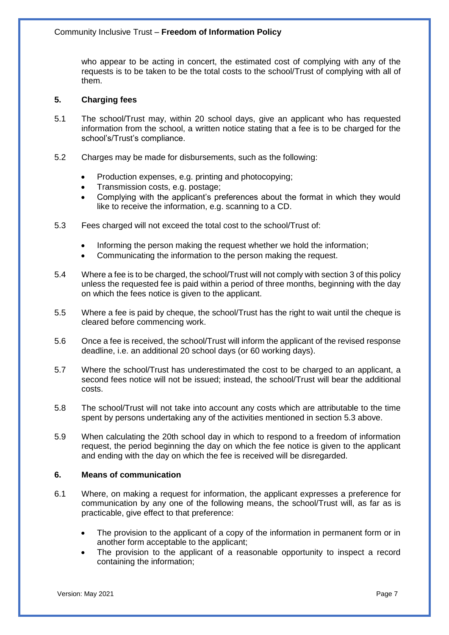who appear to be acting in concert, the estimated cost of complying with any of the requests is to be taken to be the total costs to the school/Trust of complying with all of them.

# **5. Charging fees**

- 5.1 The school/Trust may, within 20 school days, give an applicant who has requested information from the school, a written notice stating that a fee is to be charged for the school's/Trust's compliance.
- 5.2 Charges may be made for disbursements, such as the following:
	- Production expenses, e.g. printing and photocopying;
	- Transmission costs, e.g. postage;
	- Complying with the applicant's preferences about the format in which they would like to receive the information, e.g. scanning to a CD.
- 5.3 Fees charged will not exceed the total cost to the school/Trust of:
	- Informing the person making the request whether we hold the information;
	- Communicating the information to the person making the request.
- 5.4 Where a fee is to be charged, the school/Trust will not comply with section 3 of this policy unless the requested fee is paid within a period of three months, beginning with the day on which the fees notice is given to the applicant.
- 5.5 Where a fee is paid by cheque, the school/Trust has the right to wait until the cheque is cleared before commencing work.
- 5.6 Once a fee is received, the school/Trust will inform the applicant of the revised response deadline, i.e. an additional 20 school days (or 60 working days).
- 5.7 Where the school/Trust has underestimated the cost to be charged to an applicant, a second fees notice will not be issued; instead, the school/Trust will bear the additional costs.
- 5.8 The school/Trust will not take into account any costs which are attributable to the time spent by persons undertaking any of the activities mentioned in section 5.3 above.
- 5.9 When calculating the 20th school day in which to respond to a freedom of information request, the period beginning the day on which the fee notice is given to the applicant and ending with the day on which the fee is received will be disregarded.

# **6. Means of communication**

- 6.1 Where, on making a request for information, the applicant expresses a preference for communication by any one of the following means, the school/Trust will, as far as is practicable, give effect to that preference:
	- The provision to the applicant of a copy of the information in permanent form or in another form acceptable to the applicant;
	- The provision to the applicant of a reasonable opportunity to inspect a record containing the information;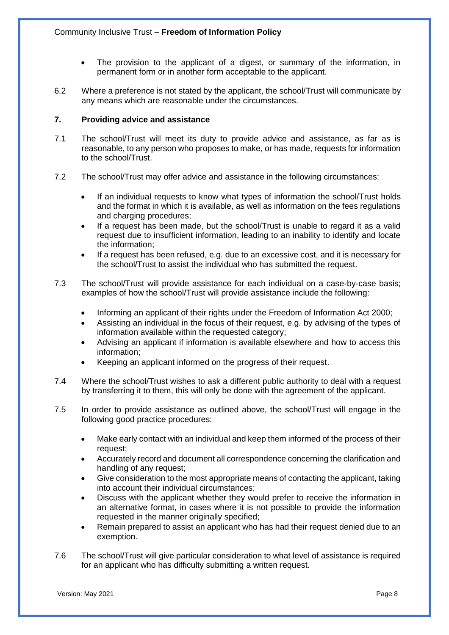- The provision to the applicant of a digest, or summary of the information, in permanent form or in another form acceptable to the applicant.
- 6.2 Where a preference is not stated by the applicant, the school/Trust will communicate by any means which are reasonable under the circumstances.

# **7. Providing advice and assistance**

- 7.1 The school/Trust will meet its duty to provide advice and assistance, as far as is reasonable, to any person who proposes to make, or has made, requests for information to the school/Trust.
- 7.2 The school/Trust may offer advice and assistance in the following circumstances:
	- If an individual requests to know what types of information the school/Trust holds and the format in which it is available, as well as information on the fees regulations and charging procedures;
	- If a request has been made, but the school/Trust is unable to regard it as a valid request due to insufficient information, leading to an inability to identify and locate the information;
	- If a request has been refused, e.g. due to an excessive cost, and it is necessary for the school/Trust to assist the individual who has submitted the request.
- 7.3 The school/Trust will provide assistance for each individual on a case-by-case basis; examples of how the school/Trust will provide assistance include the following:
	- Informing an applicant of their rights under the Freedom of Information Act 2000;
	- Assisting an individual in the focus of their request, e.g. by advising of the types of information available within the requested category;
	- Advising an applicant if information is available elsewhere and how to access this information;
	- Keeping an applicant informed on the progress of their request.
- 7.4 Where the school/Trust wishes to ask a different public authority to deal with a request by transferring it to them, this will only be done with the agreement of the applicant.
- 7.5 In order to provide assistance as outlined above, the school/Trust will engage in the following good practice procedures:
	- Make early contact with an individual and keep them informed of the process of their request;
	- Accurately record and document all correspondence concerning the clarification and handling of any request;
	- Give consideration to the most appropriate means of contacting the applicant, taking into account their individual circumstances;
	- Discuss with the applicant whether they would prefer to receive the information in an alternative format, in cases where it is not possible to provide the information requested in the manner originally specified;
	- Remain prepared to assist an applicant who has had their request denied due to an exemption.
- 7.6 The school/Trust will give particular consideration to what level of assistance is required for an applicant who has difficulty submitting a written request.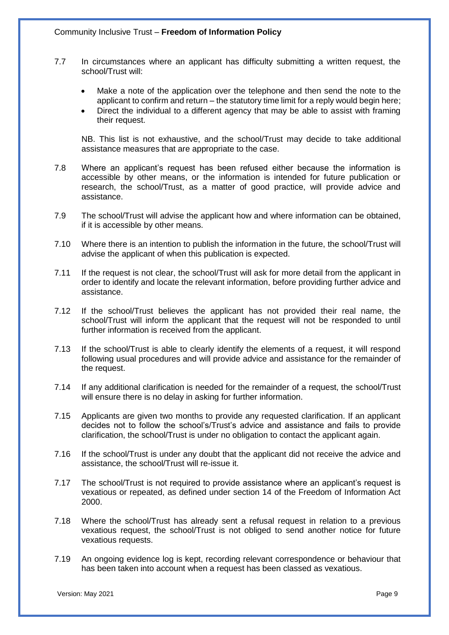- 7.7 In circumstances where an applicant has difficulty submitting a written request, the school/Trust will:
	- Make a note of the application over the telephone and then send the note to the applicant to confirm and return – the statutory time limit for a reply would begin here;
	- Direct the individual to a different agency that may be able to assist with framing their request.

NB. This list is not exhaustive, and the school/Trust may decide to take additional assistance measures that are appropriate to the case.

- 7.8 Where an applicant's request has been refused either because the information is accessible by other means, or the information is intended for future publication or research, the school/Trust, as a matter of good practice, will provide advice and assistance.
- 7.9 The school/Trust will advise the applicant how and where information can be obtained, if it is accessible by other means.
- 7.10 Where there is an intention to publish the information in the future, the school/Trust will advise the applicant of when this publication is expected.
- 7.11 If the request is not clear, the school/Trust will ask for more detail from the applicant in order to identify and locate the relevant information, before providing further advice and assistance.
- 7.12 If the school/Trust believes the applicant has not provided their real name, the school/Trust will inform the applicant that the request will not be responded to until further information is received from the applicant.
- 7.13 If the school/Trust is able to clearly identify the elements of a request, it will respond following usual procedures and will provide advice and assistance for the remainder of the request.
- 7.14 If any additional clarification is needed for the remainder of a request, the school/Trust will ensure there is no delay in asking for further information.
- 7.15 Applicants are given two months to provide any requested clarification. If an applicant decides not to follow the school's/Trust's advice and assistance and fails to provide clarification, the school/Trust is under no obligation to contact the applicant again.
- 7.16 If the school/Trust is under any doubt that the applicant did not receive the advice and assistance, the school/Trust will re-issue it.
- 7.17 The school/Trust is not required to provide assistance where an applicant's request is vexatious or repeated, as defined under section 14 of the Freedom of Information Act 2000.
- 7.18 Where the school/Trust has already sent a refusal request in relation to a previous vexatious request, the school/Trust is not obliged to send another notice for future vexatious requests.
- 7.19 An ongoing evidence log is kept, recording relevant correspondence or behaviour that has been taken into account when a request has been classed as vexatious.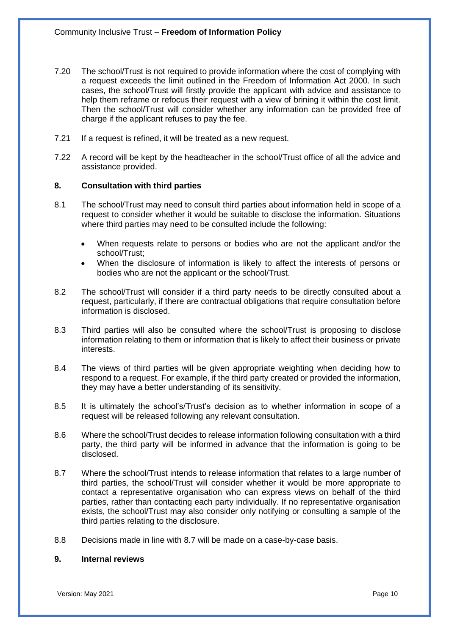- 7.20 The school/Trust is not required to provide information where the cost of complying with a request exceeds the limit outlined in the Freedom of Information Act 2000. In such cases, the school/Trust will firstly provide the applicant with advice and assistance to help them reframe or refocus their request with a view of brining it within the cost limit. Then the school/Trust will consider whether any information can be provided free of charge if the applicant refuses to pay the fee.
- 7.21 If a request is refined, it will be treated as a new request.
- 7.22 A record will be kept by the headteacher in the school/Trust office of all the advice and assistance provided.

#### **8. Consultation with third parties**

- 8.1 The school/Trust may need to consult third parties about information held in scope of a request to consider whether it would be suitable to disclose the information. Situations where third parties may need to be consulted include the following:
	- When requests relate to persons or bodies who are not the applicant and/or the school/Trust;
	- When the disclosure of information is likely to affect the interests of persons or bodies who are not the applicant or the school/Trust.
- 8.2 The school/Trust will consider if a third party needs to be directly consulted about a request, particularly, if there are contractual obligations that require consultation before information is disclosed.
- 8.3 Third parties will also be consulted where the school/Trust is proposing to disclose information relating to them or information that is likely to affect their business or private interests.
- 8.4 The views of third parties will be given appropriate weighting when deciding how to respond to a request. For example, if the third party created or provided the information, they may have a better understanding of its sensitivity.
- 8.5 It is ultimately the school's/Trust's decision as to whether information in scope of a request will be released following any relevant consultation.
- 8.6 Where the school/Trust decides to release information following consultation with a third party, the third party will be informed in advance that the information is going to be disclosed.
- 8.7 Where the school/Trust intends to release information that relates to a large number of third parties, the school/Trust will consider whether it would be more appropriate to contact a representative organisation who can express views on behalf of the third parties, rather than contacting each party individually. If no representative organisation exists, the school/Trust may also consider only notifying or consulting a sample of the third parties relating to the disclosure.
- 8.8 Decisions made in line with 8.7 will be made on a case-by-case basis.

#### **9. Internal reviews**

Version: May 2021 **Page 10**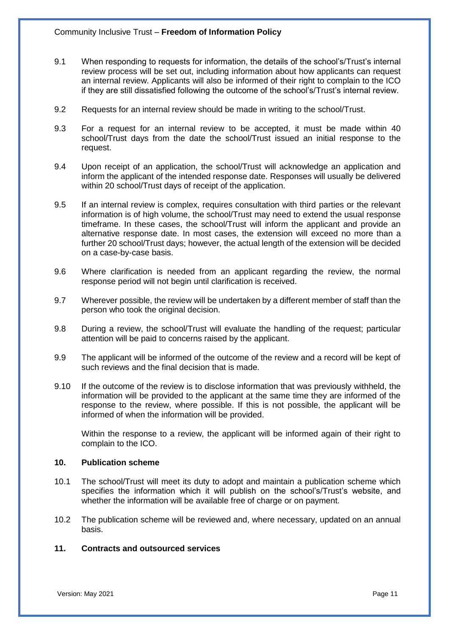- 9.1 When responding to requests for information, the details of the school's/Trust's internal review process will be set out, including information about how applicants can request an internal review. Applicants will also be informed of their right to complain to the ICO if they are still dissatisfied following the outcome of the school's/Trust's internal review.
- 9.2 Requests for an internal review should be made in writing to the school/Trust.
- 9.3 For a request for an internal review to be accepted, it must be made within 40 school/Trust days from the date the school/Trust issued an initial response to the request.
- 9.4 Upon receipt of an application, the school/Trust will acknowledge an application and inform the applicant of the intended response date. Responses will usually be delivered within 20 school/Trust days of receipt of the application.
- 9.5 If an internal review is complex, requires consultation with third parties or the relevant information is of high volume, the school/Trust may need to extend the usual response timeframe. In these cases, the school/Trust will inform the applicant and provide an alternative response date. In most cases, the extension will exceed no more than a further 20 school/Trust days; however, the actual length of the extension will be decided on a case-by-case basis.
- 9.6 Where clarification is needed from an applicant regarding the review, the normal response period will not begin until clarification is received.
- 9.7 Wherever possible, the review will be undertaken by a different member of staff than the person who took the original decision.
- 9.8 During a review, the school/Trust will evaluate the handling of the request; particular attention will be paid to concerns raised by the applicant.
- 9.9 The applicant will be informed of the outcome of the review and a record will be kept of such reviews and the final decision that is made.
- 9.10 If the outcome of the review is to disclose information that was previously withheld, the information will be provided to the applicant at the same time they are informed of the response to the review, where possible. If this is not possible, the applicant will be informed of when the information will be provided.

Within the response to a review, the applicant will be informed again of their right to complain to the ICO.

#### **10. Publication scheme**

- 10.1 The school/Trust will meet its duty to adopt and maintain a publication scheme which specifies the information which it will publish on the school's/Trust's website, and whether the information will be available free of charge or on payment.
- 10.2 The publication scheme will be reviewed and, where necessary, updated on an annual basis.

#### **11. Contracts and outsourced services**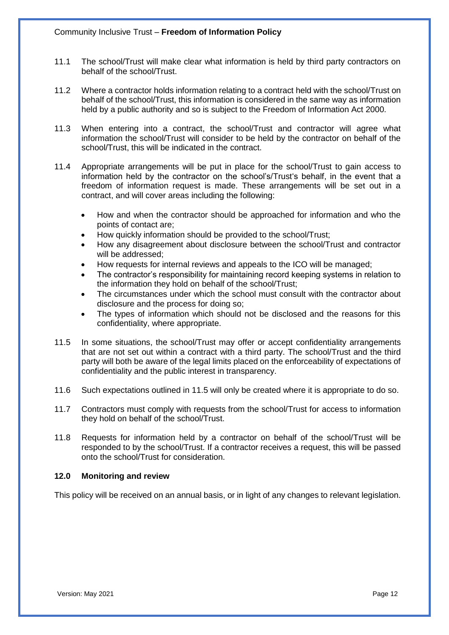- 11.1 The school/Trust will make clear what information is held by third party contractors on behalf of the school/Trust.
- 11.2 Where a contractor holds information relating to a contract held with the school/Trust on behalf of the school/Trust, this information is considered in the same way as information held by a public authority and so is subject to the Freedom of Information Act 2000.
- 11.3 When entering into a contract, the school/Trust and contractor will agree what information the school/Trust will consider to be held by the contractor on behalf of the school/Trust, this will be indicated in the contract.
- 11.4 Appropriate arrangements will be put in place for the school/Trust to gain access to information held by the contractor on the school's/Trust's behalf, in the event that a freedom of information request is made. These arrangements will be set out in a contract, and will cover areas including the following:
	- How and when the contractor should be approached for information and who the points of contact are;
	- How quickly information should be provided to the school/Trust;
	- How any disagreement about disclosure between the school/Trust and contractor will be addressed:
	- How requests for internal reviews and appeals to the ICO will be managed;
	- The contractor's responsibility for maintaining record keeping systems in relation to the information they hold on behalf of the school/Trust;
	- The circumstances under which the school must consult with the contractor about disclosure and the process for doing so;
	- The types of information which should not be disclosed and the reasons for this confidentiality, where appropriate.
- 11.5 In some situations, the school/Trust may offer or accept confidentiality arrangements that are not set out within a contract with a third party. The school/Trust and the third party will both be aware of the legal limits placed on the enforceability of expectations of confidentiality and the public interest in transparency.
- 11.6 Such expectations outlined in 11.5 will only be created where it is appropriate to do so.
- 11.7 Contractors must comply with requests from the school/Trust for access to information they hold on behalf of the school/Trust.
- 11.8 Requests for information held by a contractor on behalf of the school/Trust will be responded to by the school/Trust. If a contractor receives a request, this will be passed onto the school/Trust for consideration.

# **12.0 Monitoring and review**

This policy will be received on an annual basis, or in light of any changes to relevant legislation.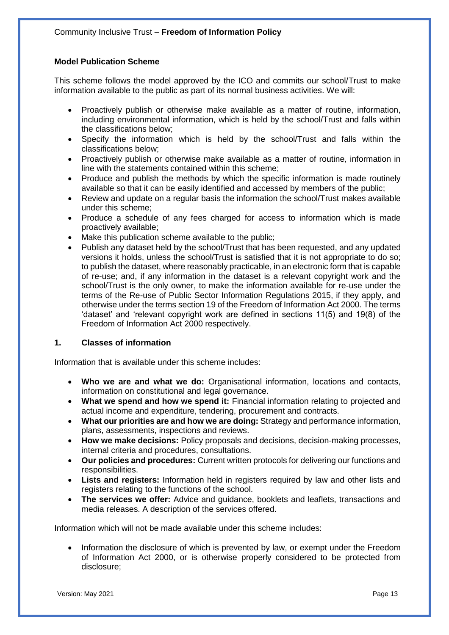# **Model Publication Scheme**

This scheme follows the model approved by the ICO and commits our school/Trust to make information available to the public as part of its normal business activities. We will:

- Proactively publish or otherwise make available as a matter of routine, information, including environmental information, which is held by the school/Trust and falls within the classifications below;
- Specify the information which is held by the school/Trust and falls within the classifications below;
- Proactively publish or otherwise make available as a matter of routine, information in line with the statements contained within this scheme;
- Produce and publish the methods by which the specific information is made routinely available so that it can be easily identified and accessed by members of the public;
- Review and update on a regular basis the information the school/Trust makes available under this scheme;
- Produce a schedule of any fees charged for access to information which is made proactively available;
- Make this publication scheme available to the public;
- Publish any dataset held by the school/Trust that has been requested, and any updated versions it holds, unless the school/Trust is satisfied that it is not appropriate to do so; to publish the dataset, where reasonably practicable, in an electronic form that is capable of re-use; and, if any information in the dataset is a relevant copyright work and the school/Trust is the only owner, to make the information available for re-use under the terms of the Re-use of Public Sector Information Regulations 2015, if they apply, and otherwise under the terms section 19 of the Freedom of Information Act 2000. The terms 'dataset' and 'relevant copyright work are defined in sections 11(5) and 19(8) of the Freedom of Information Act 2000 respectively.

# **1. Classes of information**

Information that is available under this scheme includes:

- **Who we are and what we do:** Organisational information, locations and contacts, information on constitutional and legal governance.
- **What we spend and how we spend it:** Financial information relating to projected and actual income and expenditure, tendering, procurement and contracts.
- **What our priorities are and how we are doing:** Strategy and performance information, plans, assessments, inspections and reviews.
- **How we make decisions:** Policy proposals and decisions, decision-making processes, internal criteria and procedures, consultations.
- **Our policies and procedures:** Current written protocols for delivering our functions and responsibilities.
- Lists and registers: Information held in registers required by law and other lists and registers relating to the functions of the school.
- **The services we offer:** Advice and guidance, booklets and leaflets, transactions and media releases. A description of the services offered.

Information which will not be made available under this scheme includes:

• Information the disclosure of which is prevented by law, or exempt under the Freedom of Information Act 2000, or is otherwise properly considered to be protected from disclosure;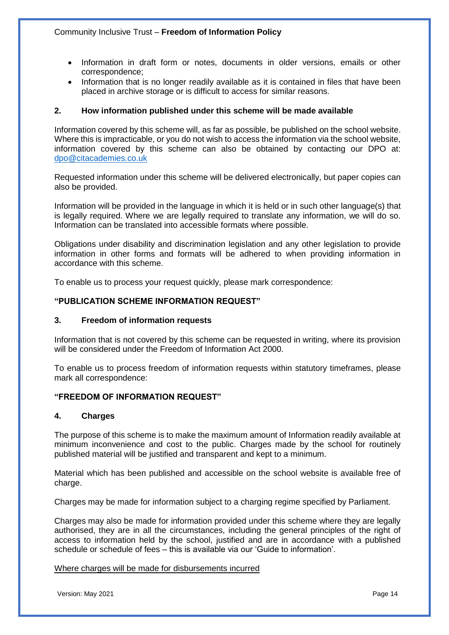- Information in draft form or notes, documents in older versions, emails or other correspondence;
- Information that is no longer readily available as it is contained in files that have been placed in archive storage or is difficult to access for similar reasons.

# **2. How information published under this scheme will be made available**

Information covered by this scheme will, as far as possible, be published on the school website. Where this is impracticable, or you do not wish to access the information via the school website, information covered by this scheme can also be obtained by contacting our DPO at: [dpo@citacademies.co.uk](mailto:dpo@citacademies.co.uk)

Requested information under this scheme will be delivered electronically, but paper copies can also be provided.

Information will be provided in the language in which it is held or in such other language(s) that is legally required. Where we are legally required to translate any information, we will do so. Information can be translated into accessible formats where possible.

Obligations under disability and discrimination legislation and any other legislation to provide information in other forms and formats will be adhered to when providing information in accordance with this scheme.

To enable us to process your request quickly, please mark correspondence:

# **"PUBLICATION SCHEME INFORMATION REQUEST"**

#### **3. Freedom of information requests**

Information that is not covered by this scheme can be requested in writing, where its provision will be considered under the Freedom of Information Act 2000.

To enable us to process freedom of information requests within statutory timeframes, please mark all correspondence:

# **"FREEDOM OF INFORMATION REQUEST"**

#### **4. Charges**

The purpose of this scheme is to make the maximum amount of Information readily available at minimum inconvenience and cost to the public. Charges made by the school for routinely published material will be justified and transparent and kept to a minimum.

Material which has been published and accessible on the school website is available free of charge.

Charges may be made for information subject to a charging regime specified by Parliament.

Charges may also be made for information provided under this scheme where they are legally authorised, they are in all the circumstances, including the general principles of the right of access to information held by the school, justified and are in accordance with a published schedule or schedule of fees – this is available via our 'Guide to information'.

#### Where charges will be made for disbursements incurred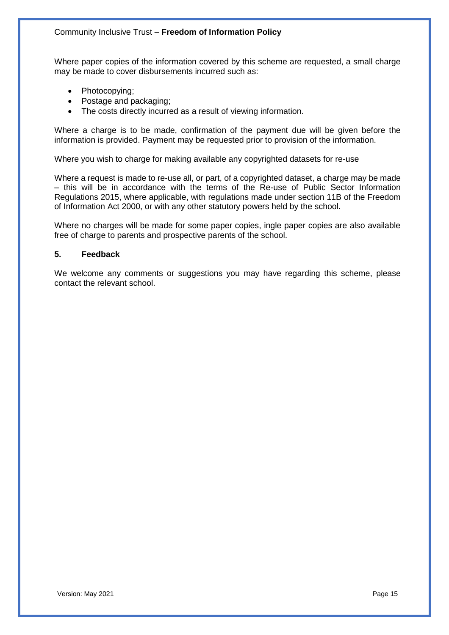Where paper copies of the information covered by this scheme are requested, a small charge may be made to cover disbursements incurred such as:

- Photocopying;
- Postage and packaging;
- The costs directly incurred as a result of viewing information.

Where a charge is to be made, confirmation of the payment due will be given before the information is provided. Payment may be requested prior to provision of the information.

Where you wish to charge for making available any copyrighted datasets for re-use

Where a request is made to re-use all, or part, of a copyrighted dataset, a charge may be made – this will be in accordance with the terms of the Re-use of Public Sector Information Regulations 2015, where applicable, with regulations made under section 11B of the Freedom of Information Act 2000, or with any other statutory powers held by the school.

Where no charges will be made for some paper copies, ingle paper copies are also available free of charge to parents and prospective parents of the school.

#### **5. Feedback**

We welcome any comments or suggestions you may have regarding this scheme, please contact the relevant school.